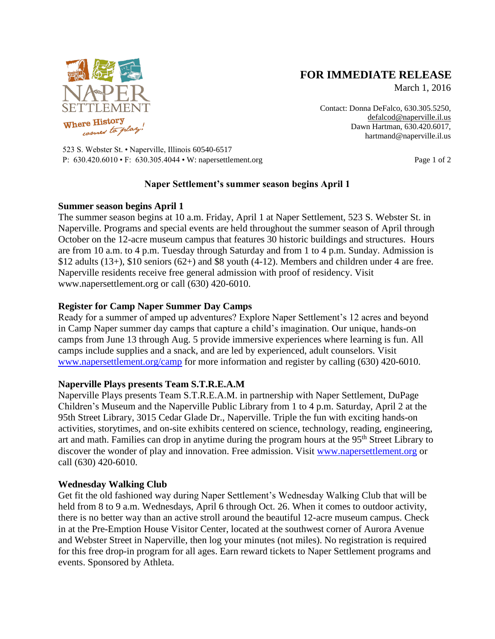

# **FOR IMMEDIATE RELEASE**

March 1, 2016

Contact: Donna DeFalco, 630.305.5250, [defalcod@naperville.il.us](mailto:defalcod@naperville.il.us) Dawn Hartman, 630.420.6017, hartmand@naperville.il.us

523 S. Webster St. • Naperville, Illinois 60540-6517 P: 630.420.6010 • F: 630.305.4044 • W: napersettlement.org Page 1 of 2

## **Naper Settlement's summer season begins April 1**

## **Summer season begins April 1**

The summer season begins at 10 a.m. Friday, April 1 at Naper Settlement, 523 S. Webster St. in Naperville. Programs and special events are held throughout the summer season of April through October on the 12-acre museum campus that features 30 historic buildings and structures. Hours are from 10 a.m. to 4 p.m. Tuesday through Saturday and from 1 to 4 p.m. Sunday. Admission is  $$12$  adults (13+),  $$10$  seniors (62+) and  $$8$  youth (4-12). Members and children under 4 are free. Naperville residents receive free general admission with proof of residency. Visit www.napersettlement.org or call (630) 420-6010.

## **Register for Camp Naper Summer Day Camps**

Ready for a summer of amped up adventures? Explore Naper Settlement's 12 acres and beyond in Camp Naper summer day camps that capture a child's imagination. Our unique, hands-on camps from June 13 through Aug. 5 provide immersive experiences where learning is fun. All camps include supplies and a snack, and are led by experienced, adult counselors. Visit [www.napersettlement.org/camp](http://www.napersettlement.org/camp) for more information and register by calling (630) 420-6010.

## **Naperville Plays presents Team S.T.R.E.A.M**

Naperville Plays presents Team S.T.R.E.A.M. in partnership with Naper Settlement, DuPage Children's Museum and the Naperville Public Library from 1 to 4 p.m. Saturday, April 2 at the 95th Street Library, 3015 Cedar Glade Dr., Naperville. Triple the fun with exciting hands-on activities, storytimes, and on-site exhibits centered on science, technology, reading, engineering, art and math. Families can drop in anytime during the program hours at the 95<sup>th</sup> Street Library to discover the wonder of play and innovation. Free admission. Visit [www.napersettlement.org](http://www.napersettlement.org/) or call (630) 420-6010.

## **Wednesday Walking Club**

Get fit the old fashioned way during Naper Settlement's Wednesday Walking Club that will be held from 8 to 9 a.m. Wednesdays, April 6 through Oct. 26. When it comes to outdoor activity, there is no better way than an active stroll around the beautiful 12-acre museum campus. Check in at the Pre-Emption House Visitor Center, located at the southwest corner of Aurora Avenue and Webster Street in Naperville, then log your minutes (not miles). No registration is required for this free drop-in program for all ages. Earn reward tickets to Naper Settlement programs and events. Sponsored by Athleta.